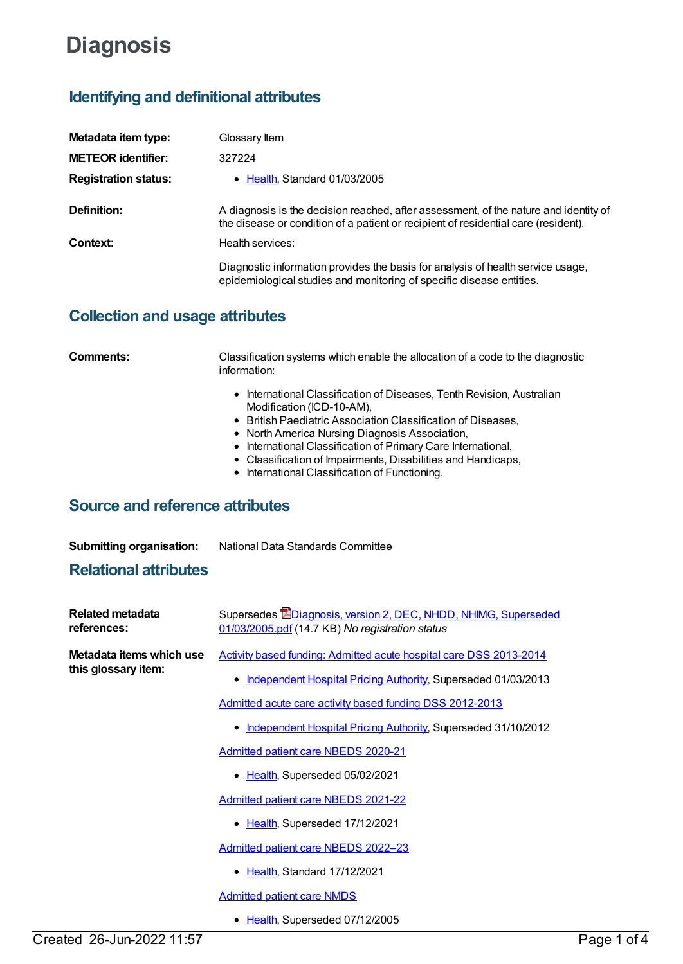## **Diagnosis**

## **Identifying and definitional attributes**

| Metadata item type:         | Glossary Item                                                                                                                                                              |
|-----------------------------|----------------------------------------------------------------------------------------------------------------------------------------------------------------------------|
| <b>METEOR identifier:</b>   | 327224                                                                                                                                                                     |
| <b>Registration status:</b> | • Health, Standard 01/03/2005                                                                                                                                              |
| Definition:                 | A diagnosis is the decision reached, after assessment, of the nature and identity of<br>the disease or condition of a patient or recipient of residential care (resident). |
| Context:                    | Health services:                                                                                                                                                           |
|                             | Diagnostic information provides the basis for analysis of health service usage,<br>epidemiological studies and monitoring of specific disease entities.                    |

## **Collection and usage attributes**

| Comments: | Classification systems which enable the allocation of a code to the diagnostic<br>information:      |  |
|-----------|-----------------------------------------------------------------------------------------------------|--|
|           | • International Classification of Diseases, Tenth Revision, Australian<br>Modification (ICD-10-AM). |  |
|           | • British Paediatric Association Classification of Diseases,                                        |  |
|           | • North America Nursing Diagnosis Association,                                                      |  |
|           | • International Classification of Primary Care International,                                       |  |
|           | • Classification of Impairments, Disabilities and Handicaps,                                        |  |
|           | • International Classification of Functioning.                                                      |  |

## **Source and reference attributes**

| <b>Submitting organisation:</b> | National Data Standards Committee |
|---------------------------------|-----------------------------------|
| <b>Relational attributes</b>    |                                   |

| <b>Related metadata</b><br>references:          | Supersedes EDiagnosis, version 2, DEC, NHDD, NHIMG, Superseded<br>01/03/2005.pdf (14.7 KB) No registration status |
|-------------------------------------------------|-------------------------------------------------------------------------------------------------------------------|
| Metadata items which use<br>this glossary item: | Activity based funding: Admitted acute hospital care DSS 2013-2014                                                |
|                                                 | Independent Hospital Pricing Authority, Superseded 01/03/2013                                                     |
|                                                 | Admitted acute care activity based funding DSS 2012-2013                                                          |
|                                                 | Independent Hospital Pricing Authority, Superseded 31/10/2012<br>٠                                                |
|                                                 | <b>Admitted patient care NBEDS 2020-21</b>                                                                        |
|                                                 | Health, Superseded 05/02/2021                                                                                     |
|                                                 | Admitted patient care NBEDS 2021-22                                                                               |
|                                                 | • Health, Superseded 17/12/2021                                                                                   |
|                                                 | Admitted patient care NBEDS 2022-23                                                                               |
|                                                 | Health, Standard 17/12/2021                                                                                       |
|                                                 | <b>Admitted patient care NMDS</b>                                                                                 |
|                                                 | • Health, Superseded 07/12/2005                                                                                   |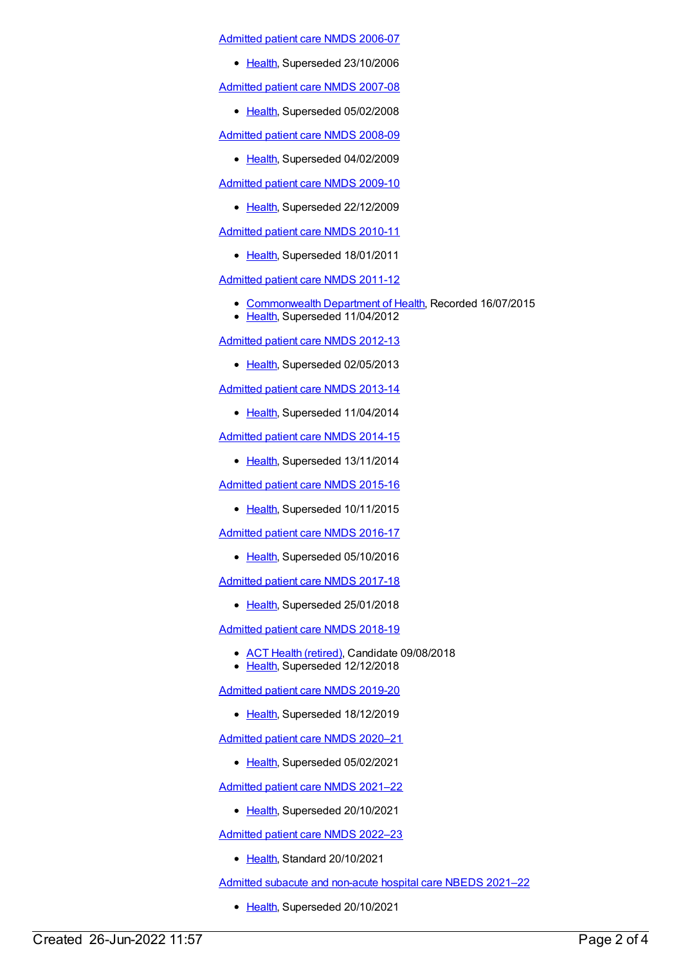[Admitted](https://meteor.aihw.gov.au/content/334023) patient care NMDS 2006-07

• [Health](https://meteor.aihw.gov.au/RegistrationAuthority/12), Superseded 23/10/2006

[Admitted](https://meteor.aihw.gov.au/content/339089) patient care NMDS 2007-08

• [Health](https://meteor.aihw.gov.au/RegistrationAuthority/12), Superseded 05/02/2008

[Admitted](https://meteor.aihw.gov.au/content/361679) patient care NMDS 2008-09

• [Health](https://meteor.aihw.gov.au/RegistrationAuthority/12), Superseded 04/02/2009

[Admitted](https://meteor.aihw.gov.au/content/374205) patient care NMDS 2009-10

• [Health](https://meteor.aihw.gov.au/RegistrationAuthority/12), Superseded 22/12/2009

[Admitted](https://meteor.aihw.gov.au/content/386797) patient care NMDS 2010-11

• [Health](https://meteor.aihw.gov.au/RegistrationAuthority/12), Superseded 18/01/2011

[Admitted](https://meteor.aihw.gov.au/content/426861) patient care NMDS 2011-12

- [Commonwealth](https://meteor.aihw.gov.au/RegistrationAuthority/10) Department of Health, Recorded 16/07/2015
- [Health](https://meteor.aihw.gov.au/RegistrationAuthority/12), Superseded 11/04/2012

[Admitted](https://meteor.aihw.gov.au/content/466132) patient care NMDS 2012-13

• [Health](https://meteor.aihw.gov.au/RegistrationAuthority/12), Superseded 02/05/2013

[Admitted](https://meteor.aihw.gov.au/content/491555) patient care NMDS 2013-14

• [Health](https://meteor.aihw.gov.au/RegistrationAuthority/12), Superseded 11/04/2014

[Admitted](https://meteor.aihw.gov.au/content/535047) patient care NMDS 2014-15

• [Health](https://meteor.aihw.gov.au/RegistrationAuthority/12), Superseded 13/11/2014

[Admitted](https://meteor.aihw.gov.au/content/588909) patient care NMDS 2015-16

• [Health](https://meteor.aihw.gov.au/RegistrationAuthority/12), Superseded 10/11/2015

[Admitted](https://meteor.aihw.gov.au/content/612171) patient care NMDS 2016-17

• [Health](https://meteor.aihw.gov.au/RegistrationAuthority/12), Superseded 05/10/2016

[Admitted](https://meteor.aihw.gov.au/content/641349) patient care NMDS 2017-18

• [Health](https://meteor.aihw.gov.au/RegistrationAuthority/12), Superseded 25/01/2018

[Admitted](https://meteor.aihw.gov.au/content/676382) patient care NMDS 2018-19

- ACT Health [\(retired\)](https://meteor.aihw.gov.au/RegistrationAuthority/9), Candidate 09/08/2018
- [Health](https://meteor.aihw.gov.au/RegistrationAuthority/12), Superseded 12/12/2018

[Admitted](https://meteor.aihw.gov.au/content/699728) patient care NMDS 2019-20

• [Health](https://meteor.aihw.gov.au/RegistrationAuthority/12), Superseded 18/12/2019

[Admitted](https://meteor.aihw.gov.au/content/713850) patient care NMDS 2020–21

• [Health](https://meteor.aihw.gov.au/RegistrationAuthority/12), Superseded 05/02/2021

[Admitted](https://meteor.aihw.gov.au/content/728439) patient care NMDS 2021–22

• [Health](https://meteor.aihw.gov.au/RegistrationAuthority/12), Superseded 20/10/2021

[Admitted](https://meteor.aihw.gov.au/content/742173) patient care NMDS 2022–23

• [Health](https://meteor.aihw.gov.au/RegistrationAuthority/12), Standard 20/10/2021

Admitted subacute and [non-acute](https://meteor.aihw.gov.au/content/727327) hospital care NBEDS 2021–22

• [Health](https://meteor.aihw.gov.au/RegistrationAuthority/12), Superseded 20/10/2021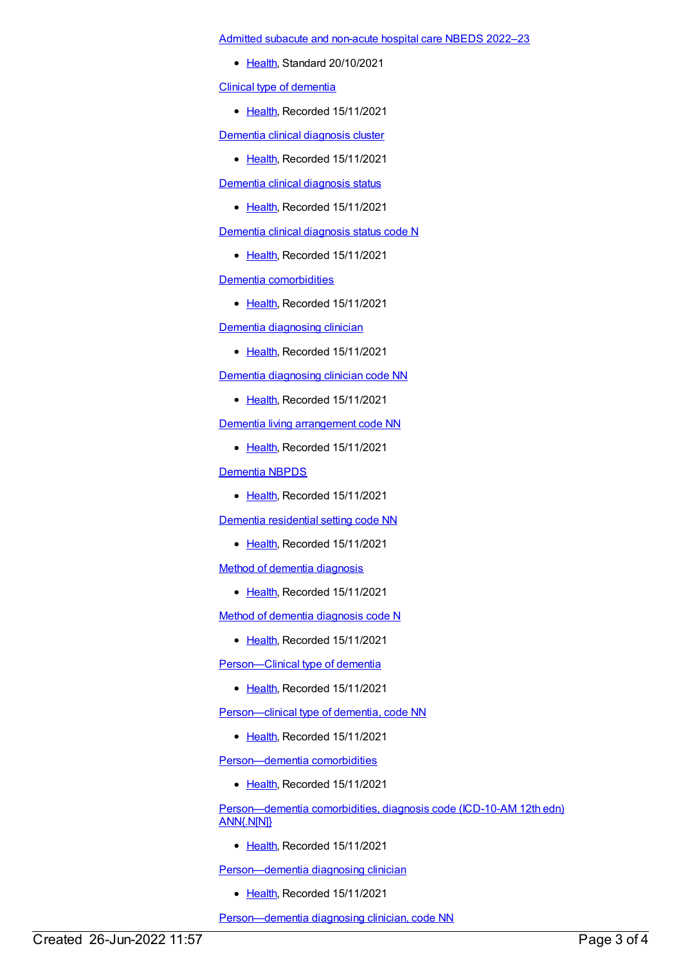Admitted subacute and [non-acute](https://meteor.aihw.gov.au/content/742177) hospital care NBEDS 2022–23

• [Health](https://meteor.aihw.gov.au/RegistrationAuthority/12), Standard 20/10/2021

Clinical type of [dementia](https://meteor.aihw.gov.au/content/424470)

• [Health](https://meteor.aihw.gov.au/RegistrationAuthority/12), Recorded 15/11/2021

Dementia clinical [diagnosis](https://meteor.aihw.gov.au/content/737891) cluster

• [Health](https://meteor.aihw.gov.au/RegistrationAuthority/12), Recorded 15/11/2021

Dementia clinical [diagnosis](https://meteor.aihw.gov.au/content/737877) status

• [Health](https://meteor.aihw.gov.au/RegistrationAuthority/12), Recorded 15/11/2021

Dementia clinical [diagnosis](https://meteor.aihw.gov.au/content/422940) status code N

• [Health](https://meteor.aihw.gov.au/RegistrationAuthority/12), Recorded 15/11/2021

Dementia [comorbidities](https://meteor.aihw.gov.au/content/737976)

• [Health](https://meteor.aihw.gov.au/RegistrationAuthority/12), Recorded 15/11/2021

Dementia [diagnosing](https://meteor.aihw.gov.au/content/737940) clinician

• [Health](https://meteor.aihw.gov.au/RegistrationAuthority/12), Recorded 15/11/2021

Dementia [diagnosing](https://meteor.aihw.gov.au/content/737957) clinician code NN

• [Health](https://meteor.aihw.gov.au/RegistrationAuthority/12), Recorded 15/11/2021

Dementia living [arrangement](https://meteor.aihw.gov.au/content/737919) code NN

• [Health](https://meteor.aihw.gov.au/RegistrationAuthority/12), Recorded 15/11/2021

[Dementia](https://meteor.aihw.gov.au/content/737872) NBPDS

• [Health](https://meteor.aihw.gov.au/RegistrationAuthority/12), Recorded 15/11/2021

Dementia [residential](https://meteor.aihw.gov.au/content/745630) setting code NN

• [Health](https://meteor.aihw.gov.au/RegistrationAuthority/12), Recorded 15/11/2021

Method of dementia [diagnosis](https://meteor.aihw.gov.au/content/737965)

• [Health](https://meteor.aihw.gov.au/RegistrationAuthority/12), Recorded 15/11/2021

Method of dementia [diagnosis](https://meteor.aihw.gov.au/content/737970) code N

● [Health](https://meteor.aihw.gov.au/RegistrationAuthority/12), Recorded 15/11/2021

Person-Clinical type of dementia

● [Health](https://meteor.aihw.gov.au/RegistrationAuthority/12), Recorded 15/11/2021

[Person—clinical](https://meteor.aihw.gov.au/content/424085) type of dementia, code NN

● [Health](https://meteor.aihw.gov.au/RegistrationAuthority/12), Recorded 15/11/2021

[Person—dementia](https://meteor.aihw.gov.au/content/737978) comorbidities

• [Health](https://meteor.aihw.gov.au/RegistrationAuthority/12), Recorded 15/11/2021

[Person—dementia](https://meteor.aihw.gov.au/content/737988) comorbidities, diagnosis code (ICD-10-AM 12th edn) ANN{.N[N]}

• [Health](https://meteor.aihw.gov.au/RegistrationAuthority/12), Recorded 15/11/2021

Person-dementia diagnosing clinician

• [Health](https://meteor.aihw.gov.au/RegistrationAuthority/12), Recorded 15/11/2021

Person-dementia diagnosing clinician, code NN